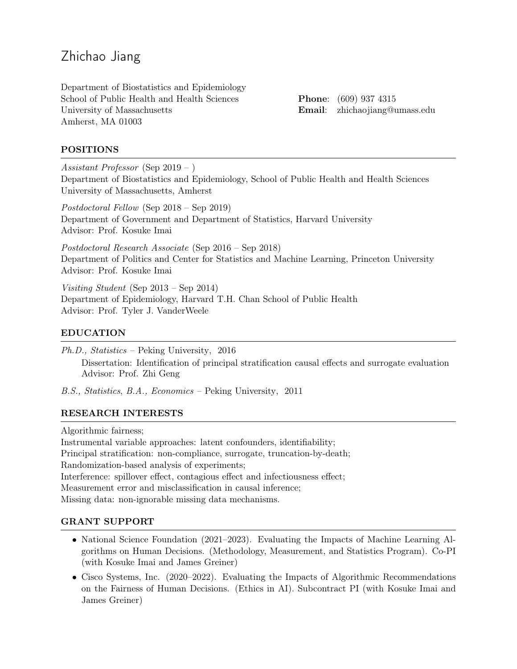# Zhichao Jiang

Department of Biostatistics and Epidemiology School of Public Health and Health Sciences University of Massachusetts Amherst, MA 01003

Phone: (609) 937 4315 Email: [zhichaojiang@umass.edu](mailto:zhichaojiang@umass.edu)

## POSITIONS

Assistant Professor (Sep 2019 – )

Department of Biostatistics and Epidemiology, School of Public Health and Health Sciences University of Massachusetts, Amherst

Postdoctoral Fellow (Sep 2018 – Sep 2019) Department of Government and Department of Statistics, Harvard University Advisor: Prof. Kosuke Imai

Postdoctoral Research Associate (Sep 2016 – Sep 2018) Department of Politics and Center for Statistics and Machine Learning, Princeton University Advisor: Prof. Kosuke Imai

Visiting Student (Sep 2013 – Sep 2014) Department of Epidemiology, Harvard T.H. Chan School of Public Health Advisor: Prof. Tyler J. VanderWeele

#### EDUCATION

Ph.D., Statistics – Peking University, 2016 Dissertation: Identification of principal stratification causal effects and surrogate evaluation Advisor: Prof. Zhi Geng

B.S., Statistics, B.A., Economics – Peking University, 2011

#### RESEARCH INTERESTS

Algorithmic fairness;

Instrumental variable approaches: latent confounders, identifiability; Principal stratification: non-compliance, surrogate, truncation-by-death; Randomization-based analysis of experiments; Interference: spillover effect, contagious effect and infectiousness effect; Measurement error and misclassification in causal inference; Missing data: non-ignorable missing data mechanisms.

#### GRANT SUPPORT

- National Science Foundation (2021–2023). Evaluating the Impacts of Machine Learning Algorithms on Human Decisions. (Methodology, Measurement, and Statistics Program). Co-PI (with Kosuke Imai and James Greiner)
- Cisco Systems, Inc. (2020–2022). Evaluating the Impacts of Algorithmic Recommendations on the Fairness of Human Decisions. (Ethics in AI). Subcontract PI (with Kosuke Imai and James Greiner)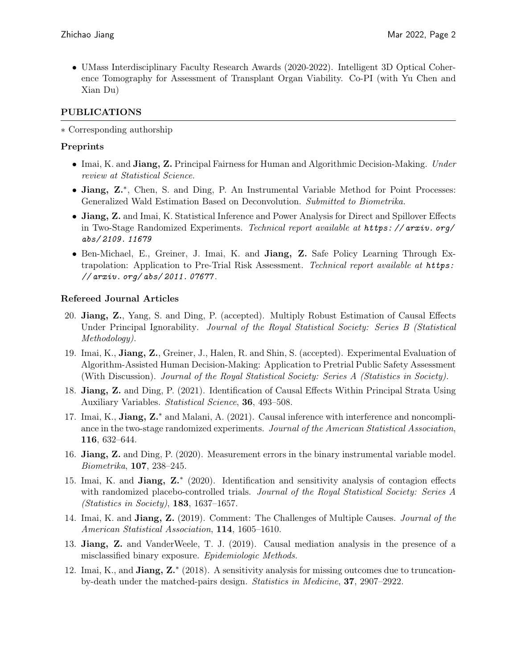• UMass Interdisciplinary Faculty Research Awards (2020-2022). Intelligent 3D Optical Coherence Tomography for Assessment of Transplant Organ Viability. Co-PI (with Yu Chen and Xian Du)

# PUBLICATIONS

∗ Corresponding authorship

# Preprints

- Imai, K. and **Jiang, Z.** [Principal Fairness for Human and Algorithmic Decision-Making.](https://arxiv.org/abs/2005.10400) Under review at Statistical Science.
- Jiang, Z.<sup>∗</sup> , Chen, S. and Ding, P. An Instrumental Variable Method for Point Processes: Generalized Wald Estimation Based on Deconvolution. Submitted to Biometrika.
- Jiang, Z. and Imai, K. [Statistical Inference and Power Analysis for Direct and Spillover Effects](https://arxiv.org/abs/2011.07677) [in Two-Stage Randomized Experiments.](https://arxiv.org/abs/2011.07677) Technical report available at https: //arxiv.org/ [abs/ 2109. 11679](https://arxiv.org/abs/2109.11679)
- Ben-Michael, E., Greiner, J. Imai, K. and Jiang, Z. [Safe Policy Learning Through Ex](https://arxiv.org/abs/2109.11679)[trapolation: Application to Pre-Trial Risk Assessment.](https://arxiv.org/abs/2109.11679) Technical report available at [https:](https://arxiv.org/abs/2011.07677) [// arxiv. org/ abs/ 2011. 07677](https://arxiv.org/abs/2011.07677) .

## Refereed Journal Articles

- 20. Jiang, Z., Yang, S. and Ding, P. (accepted). [Multiply Robust Estimation of Causal Effects](https://arxiv.org/abs/2012.01615) [Under Principal Ignorability.](https://arxiv.org/abs/2012.01615) *Journal of the Royal Statistical Society: Series B (Statistical*) Methodology).
- 19. Imai, K., Jiang, Z., Greiner, J., Halen, R. and Shin, S. (accepted). [Experimental Evaluation of](https://arxiv.org/abs/2012.02845) [Algorithm-Assisted Human Decision-Making: Application to Pretrial Public Safety Assessment](https://arxiv.org/abs/2012.02845) [\(With Discussion\).](https://arxiv.org/abs/2012.02845) Journal of the Royal Statistical Society: Series A (Statistics in Society).
- 18. Jiang, Z. and Ding, P. (2021). [Identification of Causal Effects Within Principal Strata Using](https://arxiv.org/abs/2008.02703) [Auxiliary Variables.](https://arxiv.org/abs/2008.02703) Statistical Science, 36, 493–508.
- 17. Imai, K., Jiang, Z.<sup>\*</sup> and Malani, A. (2021). [Causal inference with interference and noncompli](https://www.tandfonline.com/doi/abs/10.1080/01621459.2020.1775612?casa_token=8W7f9JMPaAMAAAAA:fHv5MgiiD9nVZ-41UKh9cEf7IxaD0_EQDT7hB-sV4NxGlS5hRd25U5hR3619ZxqLOPW4UhaJu_qIWQ)[ance in the two-stage randomized experiments.](https://www.tandfonline.com/doi/abs/10.1080/01621459.2020.1775612?casa_token=8W7f9JMPaAMAAAAA:fHv5MgiiD9nVZ-41UKh9cEf7IxaD0_EQDT7hB-sV4NxGlS5hRd25U5hR3619ZxqLOPW4UhaJu_qIWQ) Journal of the American Statistical Association, 116, 632–644.
- 16. Jiang, Z. and Ding, P. (2020). [Measurement errors in the binary instrumental variable model.](https://academic.oup.com/biomet/article/107/1/238/5637447?login=true) Biometrika, 107, 238–245.
- 15. Imai, K. and Jiang, Z.\* (2020). [Identification and sensitivity analysis of contagion effects](https://rss.onlinelibrary.wiley.com/doi/abs/10.1111/rssa.12528?af=R&casa_token=Dp4qPRIckvoAAAAA:8eHxc_18I8tkxild-Bsd83mKZr3inKXw4ezAeYzUwcCUlvECCRdKSgQErjCB8Fkwi_KsW5tG5_DUqWD0) [with randomized placebo-controlled trials.](https://rss.onlinelibrary.wiley.com/doi/abs/10.1111/rssa.12528?af=R&casa_token=Dp4qPRIckvoAAAAA:8eHxc_18I8tkxild-Bsd83mKZr3inKXw4ezAeYzUwcCUlvECCRdKSgQErjCB8Fkwi_KsW5tG5_DUqWD0) Journal of the Royal Statistical Society: Series A (Statistics in Society), 183, 1637–1657.
- 14. Imai, K. and Jiang, Z. (2019). [Comment: The Challenges of Multiple Causes.](https://www.tandfonline.com/doi/full/10.1080/01621459.2019.1689137) Journal of the American Statistical Association, 114, 1605–1610.
- 13. Jiang, Z. and VanderWeele, T. J. (2019). [Causal mediation analysis in the presence of a](https://www.degruyter.com/document/doi/10.1515/em-2016-0006/html) [misclassified binary exposure.](https://www.degruyter.com/document/doi/10.1515/em-2016-0006/html) Epidemiologic Methods.
- 12. Imai, K., and Jiang, Z.\* (2018). [A sensitivity analysis for missing outcomes due to truncation](https://www.ncbi.nlm.nih.gov/pubmed/29707818)[by-death under the matched-pairs design.](https://www.ncbi.nlm.nih.gov/pubmed/29707818) Statistics in Medicine, 37, 2907–2922.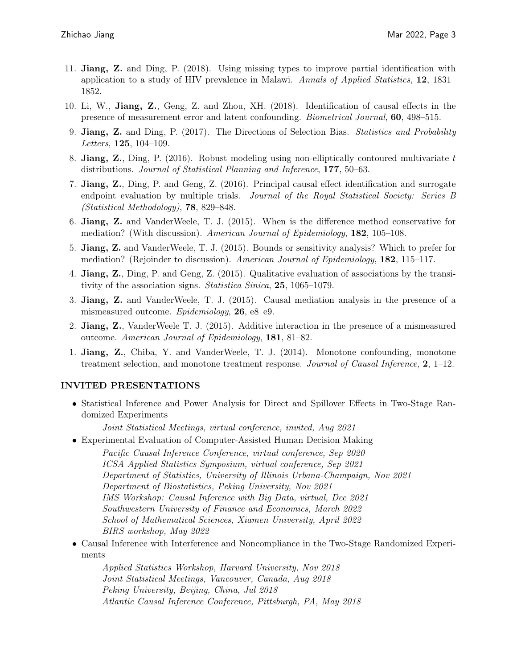- 11. Jiang, Z. and Ding, P. (2018). [Using missing types to improve partial identification with](https://projecteuclid.org/euclid.aoas/1536652976) [application to a study of HIV prevalence in Malawi.](https://projecteuclid.org/euclid.aoas/1536652976) Annals of Applied Statistics,  $12$ ,  $1831-$ 1852.
- 10. Li, W., Jiang, Z., Geng, Z. and Zhou, XH. (2018). [Identification of causal effects in the](https://www.ncbi.nlm.nih.gov/pubmed/29532942) [presence of measurement error and latent confounding.](https://www.ncbi.nlm.nih.gov/pubmed/29532942) Biometrical Journal, 60, 498–515.
- 9. Jiang, Z. and Ding, P. (2017). [The Directions of Selection Bias.](https://www.sciencedirect.com/science/article/pii/S0167715217300445) Statistics and Probability Letters, 125, 104–109.
- 8. **Jiang, Z.**, Ding, P.  $(2016)$ . [Robust modeling using non-elliptically contoured multivariate](https://www.sciencedirect.com/science/article/pii/S0378375815301026) t [distributions.](https://www.sciencedirect.com/science/article/pii/S0378375815301026) Journal of Statistical Planning and Inference, 177, 50–63.
- 7. Jiang, Z., Ding, P. and Geng, Z. (2016). [Principal causal effect identification and surrogate](https://rss.onlinelibrary.wiley.com/doi/full/10.1111/rssb.12135) [endpoint evaluation by multiple trials.](https://rss.onlinelibrary.wiley.com/doi/full/10.1111/rssb.12135) Journal of the Royal Statistical Society: Series B (Statistical Methodology), 78, 829–848.
- 6. Jiang, Z. and VanderWeele, T. J. (2015). [When is the difference method conservative for](https://academic.oup.com/aje/article/182/2/105/94961) [mediation? \(With discussion\).](https://academic.oup.com/aje/article/182/2/105/94961) American Journal of Epidemiology, 182, 105–108.
- 5. Jiang, Z. and VanderWeele, T. J. (2015). Bounds or sensitivity analysis? Which to prefer for mediation? (Rejoinder to discussion). American Journal of Epidemiology, 182, 115–117.
- 4. Jiang, Z., Ding, P. and Geng, Z. (2015). [Qualitative evaluation of associations by the transi](https://www.jstor.org/stable/24721221?seq=1#page_scan_tab_contents)[tivity of the association signs.](https://www.jstor.org/stable/24721221?seq=1#page_scan_tab_contents) *Statistica Sinica*, **25**, 1065–1079.
- 3. Jiang, Z. and VanderWeele, T. J. (2015). [Causal mediation analysis in the presence of a](https://journals.lww.com/epidem/Fulltext/2015/01000/Causal_Mediation_Analysis_in_the_Presence_of_a.27.aspx) [mismeasured outcome.](https://journals.lww.com/epidem/Fulltext/2015/01000/Causal_Mediation_Analysis_in_the_Presence_of_a.27.aspx) Epidemiology, 26, e8–e9.
- 2. Jiang, Z., VanderWeele T. J. (2015). [Additive interaction in the presence of a mismeasured](https://www.ncbi.nlm.nih.gov/pmc/articles/PMC4334828/) [outcome.](https://www.ncbi.nlm.nih.gov/pmc/articles/PMC4334828/) American Journal of Epidemiology, 181, 81–82.
- 1. Jiang, Z., Chiba, Y. and VanderWeele, T. J. (2014). [Monotone confounding, monotone](https://www.ncbi.nlm.nih.gov/pubmed/25574455/) [treatment selection, and monotone treatment response.](https://www.ncbi.nlm.nih.gov/pubmed/25574455/) Journal of Causal Inference, 2, 1–12.

## INVITED PRESENTATIONS

• Statistical Inference and Power Analysis for Direct and Spillover Effects in Two-Stage Randomized Experiments

Joint Statistical Meetings, virtual conference, invited, Aug 2021

• Experimental Evaluation of Computer-Assisted Human Decision Making Pacific Causal Inference Conference, virtual conference, Sep 2020 ICSA Applied Statistics Symposium, virtual conference, Sep 2021 Department of Statistics, University of Illinois Urbana-Champaign, Nov 2021 Department of Biostatistics, Peking University, Nov 2021 IMS Workshop: Causal Inference with Big Data, virtual, Dec 2021 Southwestern University of Finance and Economics, March 2022 School of Mathematical Sciences, Xiamen University, April 2022 BIRS workshop, May 2022

• Causal Inference with Interference and Noncompliance in the Two-Stage Randomized Experiments

Applied Statistics Workshop, Harvard University, Nov 2018 Joint Statistical Meetings, Vancouver, Canada, Aug 2018 Peking University, Beijing, China, Jul 2018 Atlantic Causal Inference Conference, Pittsburgh, PA, May 2018